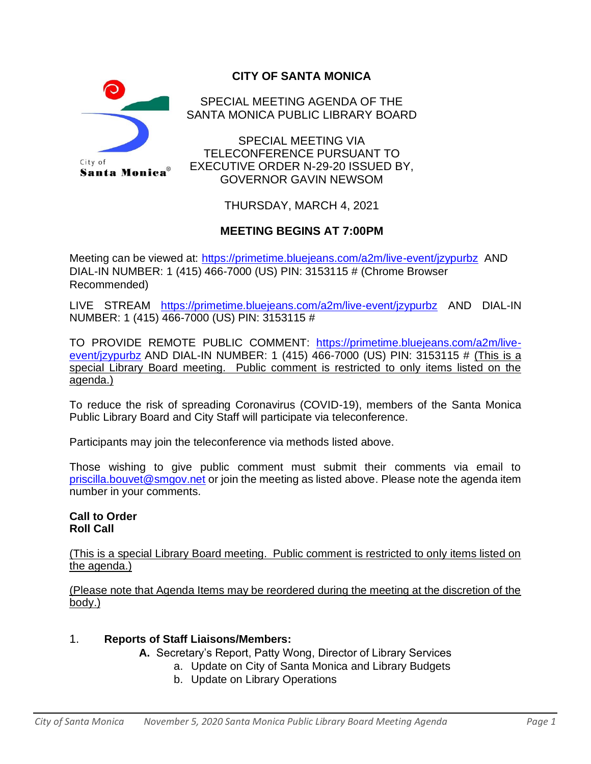

# **CITY OF SANTA MONICA**

SPECIAL MEETING AGENDA OF THE SANTA MONICA PUBLIC LIBRARY BOARD

SPECIAL MEETING VIA TELECONFERENCE PURSUANT TO EXECUTIVE ORDER N-29-20 ISSUED BY, GOVERNOR GAVIN NEWSOM

THURSDAY, MARCH 4, 2021

## **MEETING BEGINS AT 7:00PM**

Meeting can be viewed at:<https://primetime.bluejeans.com/a2m/live-event/jzypurbz> AND DIAL-IN NUMBER: 1 (415) 466-7000 (US) PIN: 3153115 # (Chrome Browser Recommended)

LIVE STREAM <https://primetime.bluejeans.com/a2m/live-event/jzypurbz> AND DIAL-IN NUMBER: 1 (415) 466-7000 (US) PIN: 3153115 #

TO PROVIDE REMOTE PUBLIC COMMENT: [https://primetime.bluejeans.com/a2m/live](https://primetime.bluejeans.com/a2m/live-event/jzypurbz)[event/jzypurbz](https://primetime.bluejeans.com/a2m/live-event/jzypurbz) AND DIAL-IN NUMBER: 1 (415) 466-7000 (US) PIN: 3153115 # (This is a special Library Board meeting. Public comment is restricted to only items listed on the agenda.)

To reduce the risk of spreading Coronavirus (COVID-19), members of the Santa Monica Public Library Board and City Staff will participate via teleconference.

Participants may join the teleconference via methods listed above.

Those wishing to give public comment must submit their comments via email to [priscilla.bouvet@smgov.net](mailto:priscilla.bouvet@smgov.net) or join the meeting as listed above. Please note the agenda item number in your comments.

#### **Call to Order Roll Call**

(This is a special Library Board meeting. Public comment is restricted to only items listed on the agenda.)

(Please note that Agenda Items may be reordered during the meeting at the discretion of the body.)

### 1. **Reports of Staff Liaisons/Members:**

- **A.** Secretary's Report, Patty Wong, Director of Library Services
	- a. Update on City of Santa Monica and Library Budgets
	- b. Update on Library Operations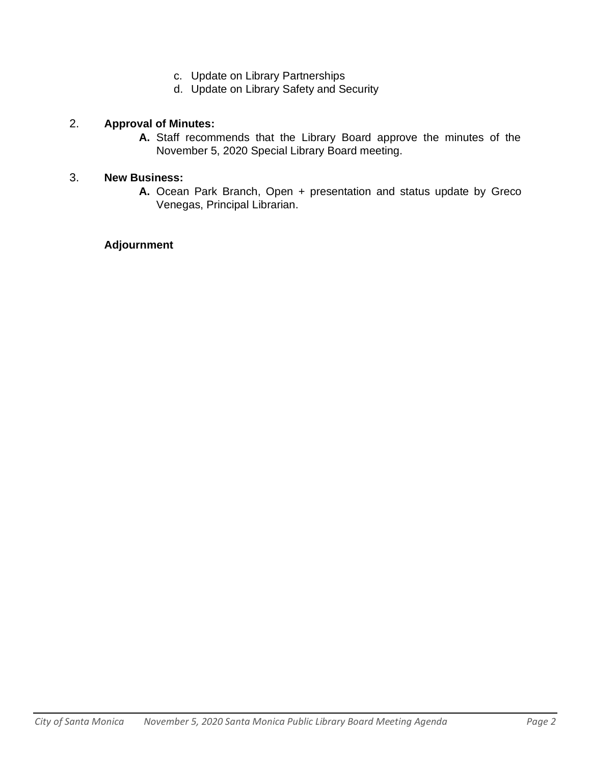- c. Update on Library Partnerships
- d. Update on Library Safety and Security

### 2. **Approval of Minutes:**

**A.** Staff recommends that the Library Board approve the minutes of the November 5, 2020 Special Library Board meeting.

### 3. **New Business:**

**A.** Ocean Park Branch, Open + presentation and status update by Greco Venegas, Principal Librarian.

### **Adjournment**